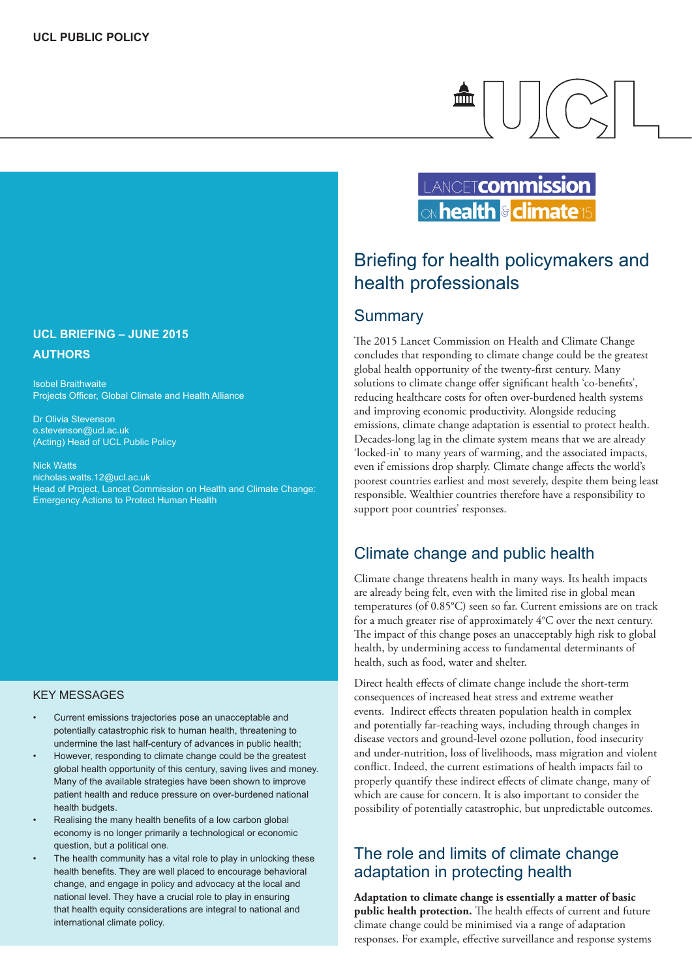### **UCL BRIEFING – JUNE 2015 AUTHORS**

Isobel Braithwaite Projects Officer, Global Climate and Health Alliance

Dr Olivia Stevenson o.stevenson@ucl.ac.uk (Acting) Head of UCL Public Policy

Nick Watts nicholas.watts.12@ucl.ac.uk Head of Project, Lancet Commission on Health and Climate Change: Emergency Actions to Protect Human Health

#### KEY MESSAGES

- Current emissions trajectories pose an unacceptable and potentially catastrophic risk to human health, threatening to undermine the last half-century of advances in public health;
- However, responding to climate change could be the greatest global health opportunity of this century, saving lives and money. Many of the available strategies have been shown to improve patient health and reduce pressure on over-burdened national health budgets.
- Realising the many health benefits of a low carbon global economy is no longer primarily a technological or economic question, but a political one.
- The health community has a vital role to play in unlocking these health benefits. They are well placed to encourage behavioral change, and engage in policy and advocacy at the local and national level. They have a crucial role to play in ensuring that health equity considerations are integral to national and international climate policy.

# LANCETCOMMISSION health & climat

 $\frac{2}{\ln 2}$ 

# Briefing for health policymakers and health professionals

## **Summary**

The 2015 Lancet Commission on Health and Climate Change concludes that responding to climate change could be the greatest global health opportunity of the twenty-first century. Many solutions to climate change offer significant health 'co-benefits', reducing healthcare costs for often over-burdened health systems and improving economic productivity. Alongside reducing emissions, climate change adaptation is essential to protect health. Decades-long lag in the climate system means that we are already 'locked-in' to many years of warming, and the associated impacts, even if emissions drop sharply. Climate change affects the world's poorest countries earliest and most severely, despite them being least responsible. Wealthier countries therefore have a responsibility to support poor countries' responses.

# Climate change and public health

Climate change threatens health in many ways. Its health impacts are already being felt, even with the limited rise in global mean temperatures (of 0.85°C) seen so far. Current emissions are on track for a much greater rise of approximately 4°C over the next century. The impact of this change poses an unacceptably high risk to global health, by undermining access to fundamental determinants of health, such as food, water and shelter.

Direct health effects of climate change include the short-term consequences of increased heat stress and extreme weather events. Indirect effects threaten population health in complex and potentially far-reaching ways, including through changes in disease vectors and ground-level ozone pollution, food insecurity and under-nutrition, loss of livelihoods, mass migration and violent conflict. Indeed, the current estimations of health impacts fail to properly quantify these indirect effects of climate change, many of which are cause for concern. It is also important to consider the possibility of potentially catastrophic, but unpredictable outcomes.

# The role and limits of climate change adaptation in protecting health

**Adaptation to climate change is essentially a matter of basic public health protection.** The health effects of current and future climate change could be minimised via a range of adaptation responses. For example, effective surveillance and response systems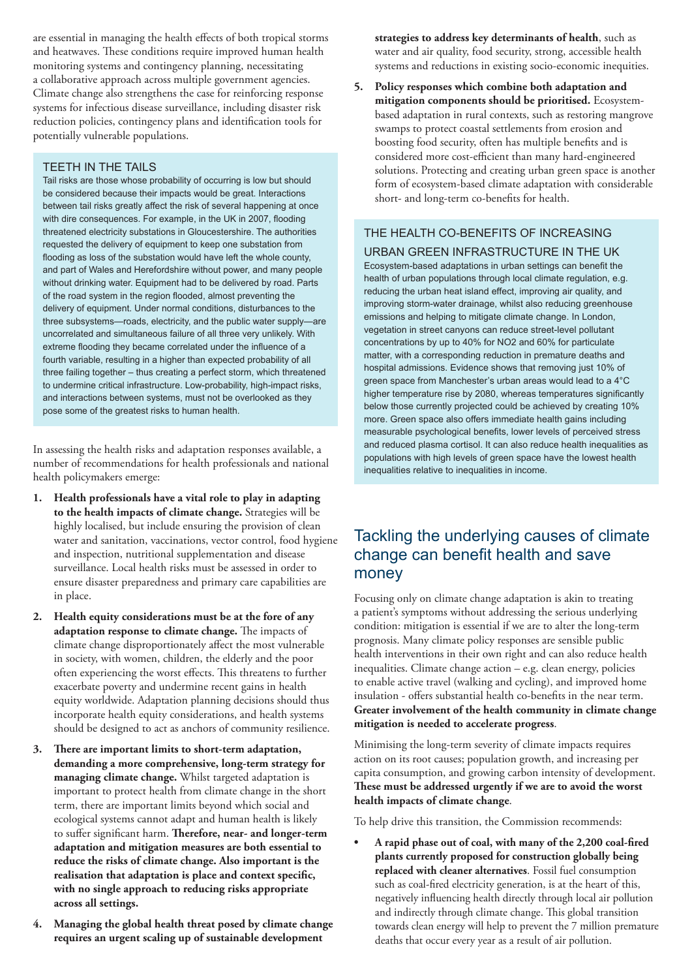are essential in managing the health effects of both tropical storms and heatwaves. These conditions require improved human health monitoring systems and contingency planning, necessitating a collaborative approach across multiple government agencies. Climate change also strengthens the case for reinforcing response systems for infectious disease surveillance, including disaster risk reduction policies, contingency plans and identification tools for potentially vulnerable populations.

#### TEETH IN THE TAILS

Tail risks are those whose probability of occurring is low but should be considered because their impacts would be great. Interactions between tail risks greatly affect the risk of several happening at once with dire consequences. For example, in the UK in 2007, flooding threatened electricity substations in Gloucestershire. The authorities requested the delivery of equipment to keep one substation from flooding as loss of the substation would have left the whole county, and part of Wales and Herefordshire without power, and many people without drinking water. Equipment had to be delivered by road. Parts of the road system in the region flooded, almost preventing the delivery of equipment. Under normal conditions, disturbances to the three subsystems—roads, electricity, and the public water supply—are uncorrelated and simultaneous failure of all three very unlikely. With extreme flooding they became correlated under the influence of a fourth variable, resulting in a higher than expected probability of all three failing together – thus creating a perfect storm, which threatened to undermine critical infrastructure. Low-probability, high-impact risks, and interactions between systems, must not be overlooked as they pose some of the greatest risks to human health.

In assessing the health risks and adaptation responses available, a number of recommendations for health professionals and national health policymakers emerge:

- **1. Health professionals have a vital role to play in adapting to the health impacts of climate change.** Strategies will be highly localised, but include ensuring the provision of clean water and sanitation, vaccinations, vector control, food hygiene and inspection, nutritional supplementation and disease surveillance. Local health risks must be assessed in order to ensure disaster preparedness and primary care capabilities are in place.
- **2. Health equity considerations must be at the fore of any adaptation response to climate change.** The impacts of climate change disproportionately affect the most vulnerable in society, with women, children, the elderly and the poor often experiencing the worst effects. This threatens to further exacerbate poverty and undermine recent gains in health equity worldwide. Adaptation planning decisions should thus incorporate health equity considerations, and health systems should be designed to act as anchors of community resilience.
- **3. There are important limits to short-term adaptation, demanding a more comprehensive, long-term strategy for managing climate change.** Whilst targeted adaptation is important to protect health from climate change in the short term, there are important limits beyond which social and ecological systems cannot adapt and human health is likely to suffer significant harm. **Therefore, near- and longer-term adaptation and mitigation measures are both essential to reduce the risks of climate change. Also important is the realisation that adaptation is place and context specific, with no single approach to reducing risks appropriate across all settings.**
- **4. Managing the global health threat posed by climate change requires an urgent scaling up of sustainable development**

**strategies to address key determinants of health**, such as water and air quality, food security, strong, accessible health systems and reductions in existing socio-economic inequities.

**5. Policy responses which combine both adaptation and mitigation components should be prioritised.** Ecosystembased adaptation in rural contexts, such as restoring mangrove swamps to protect coastal settlements from erosion and boosting food security, often has multiple benefits and is considered more cost-efficient than many hard-engineered solutions. Protecting and creating urban green space is another form of ecosystem-based climate adaptation with considerable short- and long-term co-benefits for health.

#### THE HEALTH CO-BENEFITS OF INCREASING

URBAN GREEN INFRASTRUCTURE IN THE UK

Ecosystem-based adaptations in urban settings can benefit the health of urban populations through local climate regulation, e.g. reducing the urban heat island effect, improving air quality, and improving storm-water drainage, whilst also reducing greenhouse emissions and helping to mitigate climate change. In London, vegetation in street canyons can reduce street-level pollutant concentrations by up to 40% for NO2 and 60% for particulate matter, with a corresponding reduction in premature deaths and hospital admissions. Evidence shows that removing just 10% of green space from Manchester's urban areas would lead to a 4°C higher temperature rise by 2080, whereas temperatures significantly below those currently projected could be achieved by creating 10% more. Green space also offers immediate health gains including measurable psychological benefits, lower levels of perceived stress and reduced plasma cortisol. It can also reduce health inequalities as populations with high levels of green space have the lowest health inequalities relative to inequalities in income.

## Tackling the underlying causes of climate change can benefit health and save money

Focusing only on climate change adaptation is akin to treating a patient's symptoms without addressing the serious underlying condition: mitigation is essential if we are to alter the long-term prognosis. Many climate policy responses are sensible public health interventions in their own right and can also reduce health inequalities. Climate change action – e.g. clean energy, policies to enable active travel (walking and cycling), and improved home insulation - offers substantial health co-benefits in the near term. **Greater involvement of the health community in climate change mitigation is needed to accelerate progress**.

Minimising the long-term severity of climate impacts requires action on its root causes; population growth, and increasing per capita consumption, and growing carbon intensity of development. **These must be addressed urgently if we are to avoid the worst health impacts of climate change**.

To help drive this transition, the Commission recommends:

**• A rapid phase out of coal, with many of the 2,200 coal-fired plants currently proposed for construction globally being replaced with cleaner alternatives**. Fossil fuel consumption such as coal-fired electricity generation, is at the heart of this, negatively influencing health directly through local air pollution and indirectly through climate change. This global transition towards clean energy will help to prevent the 7 million premature deaths that occur every year as a result of air pollution.